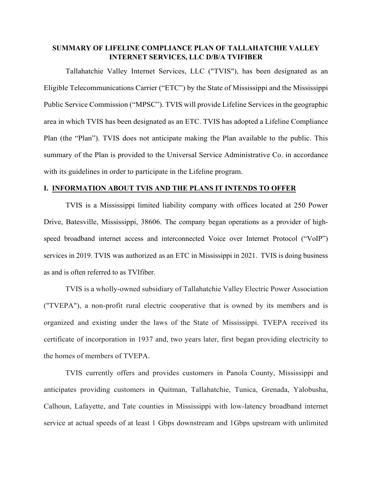## **SUMMARY OF LIFELINE COMPLIANCE PLAN OF TALLAHATCHIE VALLEY INTERNET SERVICES, LLC D/B/A TVIFIBER**

Tallahatchie Valley Internet Services, LLC ("TVIS"), has been designated as an Eligible Telecommunications Carrier ("ETC") by the State of Mississippi and the Mississippi Public Service Commission ("MPSC"). TVIS will provide Lifeline Services in the geographic area in which TVIS has been designated as an ETC. TVIS has adopted a Lifeline Compliance Plan (the "Plan"). TVIS does not anticipate making the Plan available to the public. This summary of the Plan is provided to the Universal Service Administrative Co. in accordance with its guidelines in order to participate in the Lifeline program.

## **I. INFORMATION ABOUT TVIS AND THE PLANS IT INTENDS TO OFFER**

TVIS is a Mississippi limited liability company with offices located at 250 Power Drive, Batesville, Mississippi, 38606. The company began operations as a provider of highspeed broadband internet access and interconnected Voice over Internet Protocol ("VoIP") services in 2019. TVIS was authorized as an ETC in Mississippi in 2021. TVIS is doing business as and is often referred to as TVIfiber.

TVIS is a wholly-owned subsidiary of Tallahatchie Valley Electric Power Association (''TVEPA"), a non-profit rural electric cooperative that is owned by its members and is organized and existing under the laws of the State of Mississippi. TVEPA received its certificate of incorporation in 1937 and, two years later, first began providing electricity to the homes of members of TVEPA.

TVIS currently offers and provides customers in Panola County, Mississippi and anticipates providing customers in Quitman, Tallahatchie, Tunica, Grenada, Yalobusha, Calhoun, Lafayette, and Tate counties in Mississippi with low-latency broadband internet service at actual speeds of at least 1 Gbps downstream and 1Gbps upstream with unlimited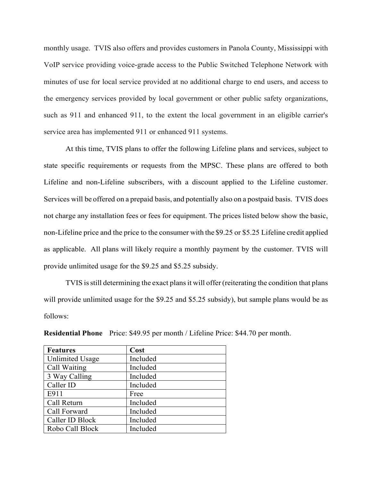monthly usage. TVIS also offers and provides customers in Panola County, Mississippi with VoIP service providing voice-grade access to the Public Switched Telephone Network with minutes of use for local service provided at no additional charge to end users, and access to the emergency services provided by local government or other public safety organizations, such as 911 and enhanced 911, to the extent the local government in an eligible carrier's service area has implemented 911 or enhanced 911 systems.

At this time, TVIS plans to offer the following Lifeline plans and services, subject to state specific requirements or requests from the MPSC. These plans are offered to both Lifeline and non-Lifeline subscribers, with a discount applied to the Lifeline customer. Services will be offered on a prepaid basis, and potentially also on a postpaid basis. TVIS does not charge any installation fees or fees for equipment. The prices listed below show the basic, non-Lifeline price and the price to the consumer with the \$9.25 or \$5.25 Lifeline credit applied as applicable. All plans will likely require a monthly payment by the customer. TVIS will provide unlimited usage for the \$9.25 and \$5.25 subsidy.

 TVIS is still determining the exact plans it will offer (reiterating the condition that plans will provide unlimited usage for the \$9.25 and \$5.25 subsidy), but sample plans would be as follows:

| <b>Features</b>        | Cost     |
|------------------------|----------|
| <b>Unlimited Usage</b> | Included |
| Call Waiting           | Included |
| 3 Way Calling          | Included |
| Caller ID              | Included |
| E911                   | Free     |
| Call Return            | Included |
| Call Forward           | Included |
| Caller ID Block        | Included |
| Robo Call Block        | Included |

**Residential Phone** Price: \$49.95 per month / Lifeline Price: \$44.70 per month.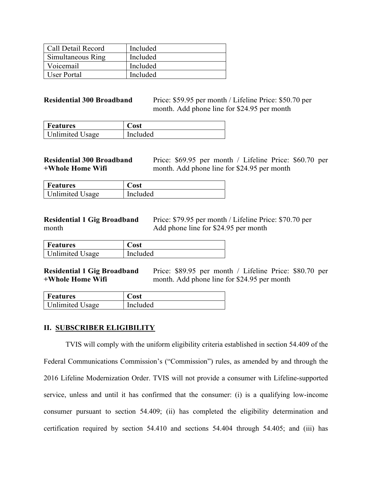| Call Detail Record | Included |
|--------------------|----------|
| Simultaneous Ring  | Included |
| Voicemail          | Included |
| User Portal        | Included |

**Residential 300 Broadband** Price: \$59.95 per month / Lifeline Price: \$50.70 per month. Add phone line for \$24.95 per month

| <b>Features</b>        | ost      |
|------------------------|----------|
| <b>Unlimited Usage</b> | Included |

**Residential 300 Broadband** Price: \$69.95 per month / Lifeline Price: \$60.70 per **+Whole Home Wifi** month. Add phone line for \$24.95 per month

| <b>Features</b>        | 'ost            |
|------------------------|-----------------|
| <b>Unlimited Usage</b> | <i>Included</i> |

**Residential 1 Gig Broadband** Price: \$79.95 per month / Lifeline Price: \$70.70 per month Add phone line for \$24.95 per month

| Features               | ost      |
|------------------------|----------|
| <b>Unlimited Usage</b> | Included |

**Residential 1 Gig Broadband** Price: \$89.95 per month / Lifeline Price: \$80.70 per <br>+Whole Home Wifi month Add phone line for \$24.95 per month month. Add phone line for \$24.95 per month

| <b>Features</b>        | Cost     |
|------------------------|----------|
| <b>Unlimited Usage</b> | Included |

## **II. SUBSCRIBER ELIGIBILITY**

TVIS will comply with the uniform eligibility criteria established in section 54.409 of the Federal Communications Commission's ("Commission") rules, as amended by and through the 2016 Lifeline Modernization Order. TVIS will not provide a consumer with Lifeline-supported service, unless and until it has confirmed that the consumer: (i) is a qualifying low-income consumer pursuant to section 54.409; (ii) has completed the eligibility determination and certification required by section 54.410 and sections 54.404 through 54.405; and (iii) has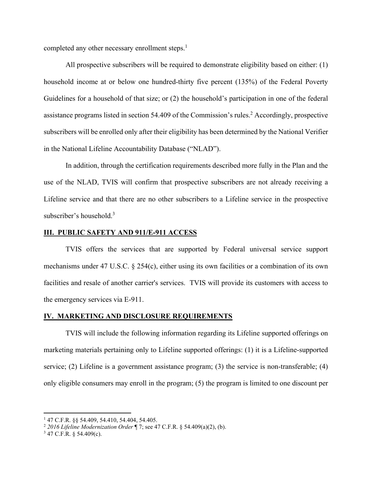completed any other necessary enrollment steps.<sup>1</sup>

 All prospective subscribers will be required to demonstrate eligibility based on either: (1) household income at or below one hundred-thirty five percent (135%) of the Federal Poverty Guidelines for a household of that size; or (2) the household's participation in one of the federal assistance programs listed in section 54.409 of the Commission's rules.<sup>2</sup> Accordingly, prospective subscribers will be enrolled only after their eligibility has been determined by the National Verifier in the National Lifeline Accountability Database ("NLAD").

 In addition, through the certification requirements described more fully in the Plan and the use of the NLAD, TVIS will confirm that prospective subscribers are not already receiving a Lifeline service and that there are no other subscribers to a Lifeline service in the prospective subscriber's household.<sup>3</sup>

## **III. PUBLIC SAFETY AND 911/E-911 ACCESS**

 TVIS offers the services that are supported by Federal universal service support mechanisms under 47 U.S.C. § 254(c), either using its own facilities or a combination of its own facilities and resale of another carrier's services. TVIS will provide its customers with access to the emergency services via E-911.

### **IV. MARKETING AND DISCLOSURE REQUIREMENTS**

 TVIS will include the following information regarding its Lifeline supported offerings on marketing materials pertaining only to Lifeline supported offerings: (1) it is a Lifeline-supported service; (2) Lifeline is a government assistance program; (3) the service is non-transferable; (4) only eligible consumers may enroll in the program; (5) the program is limited to one discount per

<sup>1</sup> 47 C.F.R. §§ 54.409, 54.410, 54.404, 54.405.

<sup>2</sup> *2016 Lifeline Modernization Order* ¶ 7; see 47 C.F.R. § 54.409(a)(2), (b). 3

 $3$  47 C.F.R. § 54.409(c).